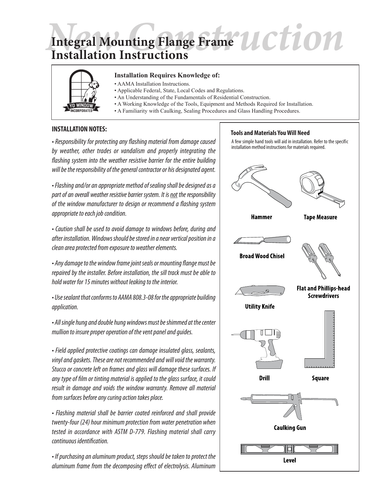# Integral Mounting Flange Frame *UCTION* **Integral Mounting Flange Frame Installation Instructions**



### **Installation Requires Knowledge of:**

- AAMA Installation Instructions.
- Applicable Federal, State, Local Codes and Regulations.
- An Understanding of the Fundamentals of Residential Construction.
- A Working Knowledge of the Tools, Equipment and Methods Required for Installation.
- A Familiarity with Caulking, Sealing Procedures and Glass Handling Procedures.

### **INSTALLATION NOTES:**

*• Responsibility for protecting any flashing material from damage caused by weather, other trades or vandalism and properly integrating the flashing system into the weather resistive barrier for the entire building will be the responsibility of the general contractor or his designated agent.*

*• Flashing and/or an appropriate method of sealing shall be designed as a part of an overall weather resistive barrier system. It is not the responsibility of the window manufacturer to design or recommend a flashing system appropriate to each job condition.*

*• Caution shall be used to avoid damage to windows before, during and after installation. Windows should be stored in a near vertical position in a clean area protected from exposure to weather elements.*

*• Any damage to the window frame joint seals or mounting flange must be repaired by the installer. Before installation, the sill track must be able to hold water for 15 minutes without leaking to the interior.*

*• Use sealant that conforms to AAMA 808.3-08 for the appropriate building application.*

*• All single hung and double hung windows must be shimmed at the center mullion to insure proper operation of the vent panel and guides.*

*• Field applied protective coatings can damage insulated glass, sealants, vinyl and gaskets. These are not recommended and will void the warranty. Stucco or concrete left on frames and glass will damage these surfaces. If any type of film or tinting material is applied to the glass surface, it could result in damage and voids the window warranty. Remove all material from surfaces before any curing action takes place.*

*• Flashing material shall be barrier coated reinforced and shall provide twenty-four (24) hour minimum protection from water penetration when tested in accordance with ASTM D-779. Flashing material shall carry continuous identification.*

*• If purchasing an aluminum product, steps should be taken to protect the aluminum frame from the decomposing effect of electrolysis. Aluminum* 

### **Tools and Materials You Will Need**

A few simple hand tools will aid in installation. Refer to the specific installation method instructions for materials required.

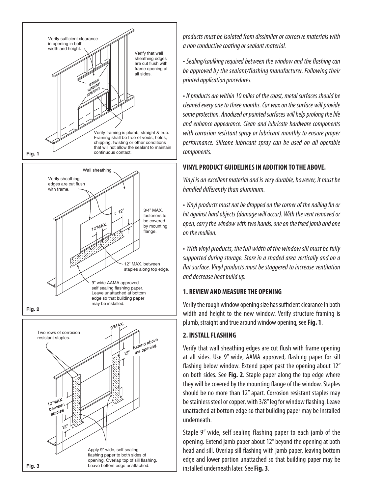

*products must be isolated from dissimilar or corrosive materials with a non conductive coating or sealant material.*

*• Sealing/caulking required between the window and the flashing can be approved by the sealant/flashing manufacturer. Following their printed application procedures.*

*• If products are within 10 miles of the coast, metal surfaces should be cleaned every one to three months. Car wax on the surface will provide some protection. Anodized or painted surfaces will help prolong the life and enhance appearance. Clean and lubricate hardware components with corrosion resistant spray or lubricant monthly to ensure proper performance. Silicone lubricant spray can be used on all operable components.*

### **VINYL PRODUCT GUIDELINES IN ADDITION TO THE ABOVE.**

*Vinyl is an excellent material and is very durable, however, it must be handled differently than aluminum.*

*• Vinyl products must not be dropped on the corner of the nailing fin or hit against hard objects (damage will occur). With the vent removed or open, carry the window with two hands, one on the fixed jamb and one on the mullion.*

*• With vinyl products, the full width of the window sill must be fully supported during storage. Store in a shaded area vertically and on a flat surface. Vinyl products must be staggered to increase ventilation and decrease heat build up.*

### **1. REVIEW AND MEASURE THE OPENING**

Verify the rough window opening size has sufficient clearance in both width and height to the new window. Verify structure framing is plumb, straight and true around window opening, see **Fig. 1**.

## **2. INSTALL FLASHING**

Verify that wall sheathing edges are cut flush with frame opening at all sides. Use 9" wide, AAMA approved, flashing paper for sill flashing below window. Extend paper past the opening about 12" on both sides. See **Fig. 2**. Staple paper along the top edge where they will be covered by the mounting flange of the window. Staples should be no more than 12" apart. Corrosion resistant staples may be stainless steel or copper, with 3/8" leg for window flashing. Leave unattached at bottom edge so that building paper may be installed underneath.

Staple 9" wide, self sealing flashing paper to each jamb of the opening. Extend jamb paper about 12" beyond the opening at both head and sill. Overlap sill flashing with jamb paper, leaving bottom edge and lower portion unattached so that building paper may be installed underneath later. See **Fig. 3**.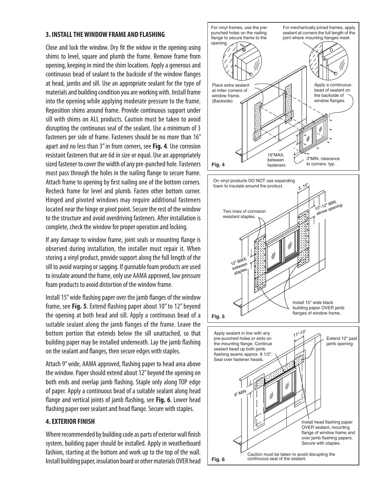### **3. INSTALL THE WINDOW FRAME AND FLASHING**

Close and lock the window. Dry fit the widow in the opening using shims to level, square and plumb the frame. Remove frame from opening, keeping in mind the shim locations. Apply a generous and continuous bead of sealant to the backside of the window flanges at head, jambs and sill. Use an appropriate sealant for the type of materials and building condition you are working with. Install frame into the opening while applying moderate pressure to the frame. Reposition shims around frame. Provide continuous support under sill with shims on ALL products. Caution must be taken to avoid disrupting the continuous seal of the sealant. Use a minimum of 3 fasteners per side of frame. Fasteners should be no more than 16" apart and no less than 3" in from corners, see **Fig. 4**. Use corrosion resistant fasteners that are 6d in size or equal. Use an appropriately sized fastener to cover the width of any pre-punched hole. Fasteners must pass through the holes in the nailing flange to secure frame. Attach frame to opening by first nailing one of the bottom corners. Recheck frame for level and plumb. Fasten other bottom corner. Hinged and pivoted windows may require additional fasteners located near the hinge or pivot point. Secure the rest of the window to the structure and avoid overdriving fasteners. After installation is complete, check the window for proper operation and locking.

If any damage to window frame, joint seals or mounting flange is observed during installation, the installer must repair it. When storing a vinyl product, provide support along the full length of the sill to avoid warping or sagging. If gunnable foam products are used to insulate around the frame, only use AAMA approved, low pressure foam products to avoid distortion of the window frame.

Install 15" wide flashing paper over the jamb flanges of the window frame, see **Fig. 5**. Extend flashing paper about 10" to 12" beyond the opening at both head and sill. Apply a continuous bead of a suitable sealant along the jamb flanges of the frame. Leave the bottom portion that extends below the sill unattached, so that building paper may be installed underneath. Lay the jamb flashing on the sealant and flanges, then secure edges with staples.

Attach 9" wide, AAMA approved, flashing paper to head area above the window. Paper should extend about 12" beyond the opening on both ends and overlap jamb flashing. Staple only along TOP edge of paper. Apply a continuous bead of a suitable sealant along head flange and vertical joints of jamb flashing, see **Fig. 6**. Lower head flashing paper over sealant and head flange. Secure with staples.

### **4. EXTERIOR FINISH**

Where recommended by building code as parts of exterior wall finish system, building paper should be installed. Apply in weatherboard fashion, starting at the bottom and work up to the top of the wall. Install building paper, insulation board or other materials OVER head